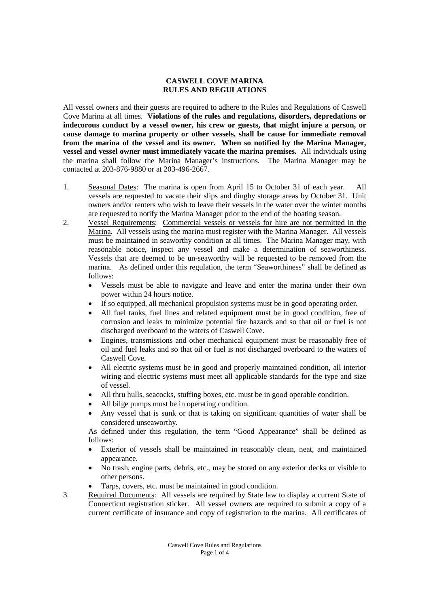## **CASWELL COVE MARINA RULES AND REGULATIONS**

All vessel owners and their guests are required to adhere to the Rules and Regulations of Caswell Cove Marina at all times. **Violations of the rules and regulations, disorders, depredations or indecorous conduct by a vessel owner, his crew or guests, that might injure a person, or cause damage to marina property or other vessels, shall be cause for immediate removal from the marina of the vessel and its owner. When so notified by the Marina Manager, vessel and vessel owner must immediately vacate the marina premises.** All individuals using the marina shall follow the Marina Manager's instructions. The Marina Manager may be contacted at 203-876-9880 or at 203-496-2667.

- 1. Seasonal Dates: The marina is open from April 15 to October 31 of each year. All vessels are requested to vacate their slips and dinghy storage areas by October 31. Unit owners and/or renters who wish to leave their vessels in the water over the winter months are requested to notify the Marina Manager prior to the end of the boating season.
- 2. Vessel Requirements: Commercial vessels or vessels for hire are not permitted in the Marina. All vessels using the marina must register with the Marina Manager. All vessels must be maintained in seaworthy condition at all times. The Marina Manager may, with reasonable notice, inspect any vessel and make a determination of seaworthiness. Vessels that are deemed to be un-seaworthy will be requested to be removed from the marina. As defined under this regulation, the term "Seaworthiness" shall be defined as follows:
	- Vessels must be able to navigate and leave and enter the marina under their own power within 24 hours notice.
	- If so equipped, all mechanical propulsion systems must be in good operating order.
	- All fuel tanks, fuel lines and related equipment must be in good condition, free of corrosion and leaks to minimize potential fire hazards and so that oil or fuel is not discharged overboard to the waters of Caswell Cove.
	- Engines, transmissions and other mechanical equipment must be reasonably free of oil and fuel leaks and so that oil or fuel is not discharged overboard to the waters of Caswell Cove.
	- All electric systems must be in good and properly maintained condition, all interior wiring and electric systems must meet all applicable standards for the type and size of vessel.
	- All thru hulls, seacocks, stuffing boxes, etc. must be in good operable condition.
	- All bilge pumps must be in operating condition.
	- Any vessel that is sunk or that is taking on significant quantities of water shall be considered unseaworthy.

As defined under this regulation, the term "Good Appearance" shall be defined as follows:

- Exterior of vessels shall be maintained in reasonably clean, neat, and maintained appearance.
- No trash, engine parts, debris, etc., may be stored on any exterior decks or visible to other persons.
- Tarps, covers, etc. must be maintained in good condition.
- 3. Required Documents: All vessels are required by State law to display a current State of Connecticut registration sticker. All vessel owners are required to submit a copy of a current certificate of insurance and copy of registration to the marina. All certificates of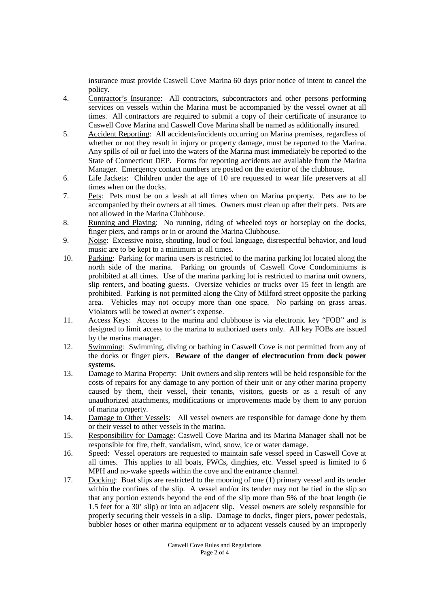insurance must provide Caswell Cove Marina 60 days prior notice of intent to cancel the policy.

- 4. Contractor's Insurance: All contractors, subcontractors and other persons performing services on vessels within the Marina must be accompanied by the vessel owner at all times. All contractors are required to submit a copy of their certificate of insurance to Caswell Cove Marina and Caswell Cove Marina shall be named as additionally insured.
- 5. Accident Reporting: All accidents/incidents occurring on Marina premises, regardless of whether or not they result in injury or property damage, must be reported to the Marina. Any spills of oil or fuel into the waters of the Marina must immediately be reported to the State of Connecticut DEP. Forms for reporting accidents are available from the Marina Manager. Emergency contact numbers are posted on the exterior of the clubhouse.
- 6. Life Jackets: Children under the age of 10 are requested to wear life preservers at all times when on the docks.
- 7. Pets: Pets must be on a leash at all times when on Marina property. Pets are to be accompanied by their owners at all times. Owners must clean up after their pets. Pets are not allowed in the Marina Clubhouse.
- 8. Running and Playing: No running, riding of wheeled toys or horseplay on the docks, finger piers, and ramps or in or around the Marina Clubhouse.
- 9. Noise: Excessive noise, shouting, loud or foul language, disrespectful behavior, and loud music are to be kept to a minimum at all times.
- 10. Parking: Parking for marina users is restricted to the marina parking lot located along the north side of the marina. Parking on grounds of Caswell Cove Condominiums is prohibited at all times. Use of the marina parking lot is restricted to marina unit owners, slip renters, and boating guests. Oversize vehicles or trucks over 15 feet in length are prohibited. Parking is not permitted along the City of Milford street opposite the parking area. Vehicles may not occupy more than one space. No parking on grass areas. Violators will be towed at owner's expense.
- 11. Access Keys: Access to the marina and clubhouse is via electronic key "FOB" and is designed to limit access to the marina to authorized users only. All key FOBs are issued by the marina manager.
- 12. Swimming: Swimming, diving or bathing in Caswell Cove is not permitted from any of the docks or finger piers. **Beware of the danger of electrocution from dock power systems**.
- 13. Damage to Marina Property: Unit owners and slip renters will be held responsible for the costs of repairs for any damage to any portion of their unit or any other marina property caused by them, their vessel, their tenants, visitors, guests or as a result of any unauthorized attachments, modifications or improvements made by them to any portion of marina property.
- 14. Damage to Other Vessels: All vessel owners are responsible for damage done by them or their vessel to other vessels in the marina.
- 15. Responsibility for Damage: Caswell Cove Marina and its Marina Manager shall not be responsible for fire, theft, vandalism, wind, snow, ice or water damage.
- 16. Speed: Vessel operators are requested to maintain safe vessel speed in Caswell Cove at all times. This applies to all boats, PWCs, dinghies, etc. Vessel speed is limited to 6 MPH and no-wake speeds within the cove and the entrance channel.
- 17. Docking: Boat slips are restricted to the mooring of one (1) primary vessel and its tender within the confines of the slip. A vessel and/or its tender may not be tied in the slip so that any portion extends beyond the end of the slip more than 5% of the boat length (ie 1.5 feet for a 30' slip) or into an adjacent slip. Vessel owners are solely responsible for properly securing their vessels in a slip. Damage to docks, finger piers, power pedestals, bubbler hoses or other marina equipment or to adjacent vessels caused by an improperly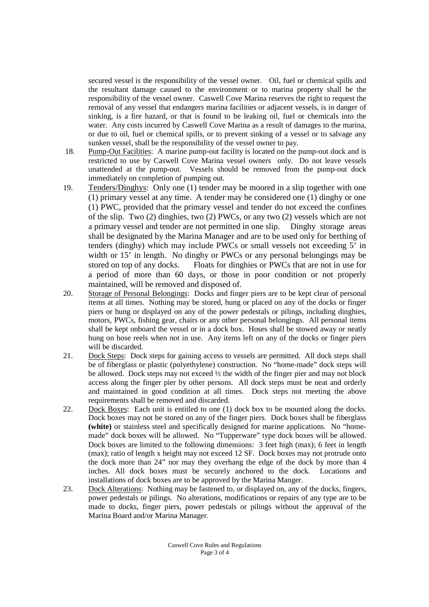secured vessel is the responsibility of the vessel owner. Oil, fuel or chemical spills and the resultant damage caused to the environment or to marina property shall be the responsibility of the vessel owner. Caswell Cove Marina reserves the right to request the removal of any vessel that endangers marina facilities or adjacent vessels, is in danger of sinking, is a fire hazard, or that is found to be leaking oil, fuel or chemicals into the water. Any costs incurred by Caswell Cove Marina as a result of damages to the marina, or due to oil, fuel or chemical spills, or to prevent sinking of a vessel or to salvage any sunken vessel, shall be the responsibility of the vessel owner to pay.

- 18. Pump-Out Facilities: A marine pump-out facility is located on the pump-out dock and is restricted to use by Caswell Cove Marina vessel owners only. Do not leave vessels unattended at the pump-out. Vessels should be removed from the pump-out dock immediately on completion of pumping out.
- 19. Tenders/Dinghys: Only one (1) tender may be moored in a slip together with one (1) primary vessel at any time. A tender may be considered one (1) dinghy or one (1) PWC, provided that the primary vessel and tender do not exceed the confines of the slip. Two (2) dinghies, two (2) PWCs, or any two (2) vessels which are not a primary vessel and tender are not permitted in one slip. Dinghy storage areas shall be designated by the Marina Manager and are to be used only for berthing of tenders (dinghy) which may include PWCs or small vessels not exceeding 5' in width or 15' in length. No dinghy or PWCs or any personal belongings may be stored on top of any docks. Floats for dinghies or PWCs that are not in use for a period of more than 60 days, or those in poor condition or not properly maintained, will be removed and disposed of.
- 20. Storage of Personal Belongings: Docks and finger piers are to be kept clear of personal items at all times. Nothing may be stored, hung or placed on any of the docks or finger piers or hung or displayed on any of the power pedestals or pilings, including dinghies, motors, PWCs, fishing gear, chairs or any other personal belongings. All personal items shall be kept onboard the vessel or in a dock box. Hoses shall be stowed away or neatly hung on hose reels when not in use. Any items left on any of the docks or finger piers will be discarded.
- 21. Dock Steps: Dock steps for gaining access to vessels are permitted. All dock steps shall be of fiberglass or plastic (polyethylene) construction. No "home-made" dock steps will be allowed. Dock steps may not exceed ½ the width of the finger pier and may not block access along the finger pier by other persons. All dock steps must be neat and orderly and maintained in good condition at all times. Dock steps not meeting the above requirements shall be removed and discarded.
- 22. Dock Boxes: Each unit is entitled to one (1) dock box to be mounted along the docks. Dock boxes may not be stored on any of the finger piers. Dock boxes shall be fiberglass **(white)** or stainless steel and specifically designed for marine applications. No "homemade" dock boxes will be allowed. No "Tupperware" type dock boxes will be allowed. Dock boxes are limited to the following dimensions: 3 feet high (max); 6 feet in length (max); ratio of length x height may not exceed 12 SF. Dock boxes may not protrude onto the dock more than 24" nor may they overhang the edge of the dock by more than 4 inches. All dock boxes must be securely anchored to the dock. Locations and installations of dock boxes are to be approved by the Marina Manger.
- 23. Dock Alterations: Nothing may be fastened to, or displayed on, any of the docks, fingers, power pedestals or pilings. No alterations, modifications or repairs of any type are to be made to docks, finger piers, power pedestals or pilings without the approval of the Marina Board and/or Marina Manager.